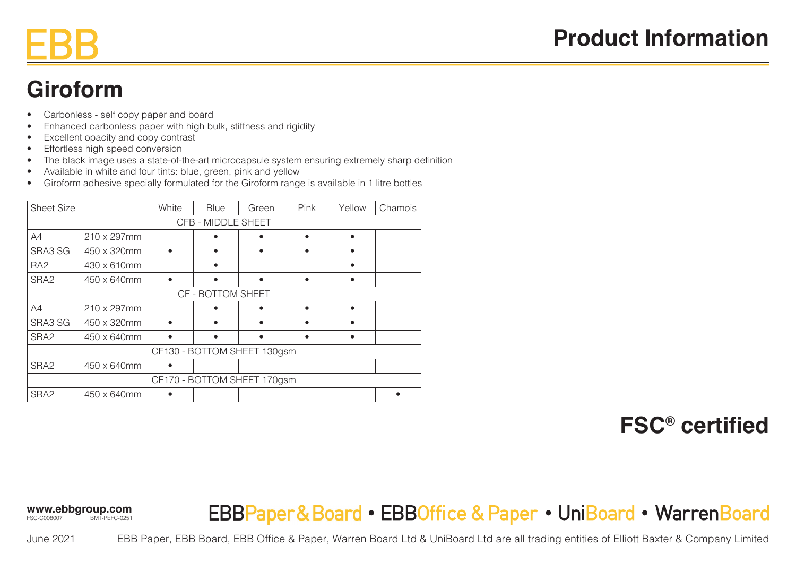### **Giroform**

- Carbonless self copy paper and board
- Enhanced carbonless paper with high bulk, stiffness and rigidity
- Excellent opacity and copy contrast
- Effortless high speed conversion
- The black image uses a state-of-the-art microcapsule system ensuring extremely sharp definition
- Available in white and four tints: blue, green, pink and yellow
- Giroform adhesive specially formulated for the Giroform range is available in 1 litre bottles

| <b>Sheet Size</b>           |             | White | <b>Blue</b> | Green | Pink | Yellow | Chamois |
|-----------------------------|-------------|-------|-------------|-------|------|--------|---------|
| CFB - MIDDLE SHEET          |             |       |             |       |      |        |         |
| A4                          | 210 x 297mm |       |             |       |      |        |         |
| SRA3 SG                     | 450 x 320mm |       |             | ٠     |      |        |         |
| RA <sub>2</sub>             | 430 x 610mm |       |             |       |      |        |         |
| SRA2                        | 450 x 640mm |       |             |       |      |        |         |
| CF - BOTTOM SHEET           |             |       |             |       |      |        |         |
| A4                          | 210 x 297mm |       |             |       |      |        |         |
| SRA3 SG                     | 450 x 320mm |       |             |       |      |        |         |
| SRA <sub>2</sub>            | 450 x 640mm |       |             | ٠     |      |        |         |
| CF130 - BOTTOM SHEET 130gsm |             |       |             |       |      |        |         |
| SRA <sub>2</sub>            | 450 x 640mm |       |             |       |      |        |         |
| CF170 - BOTTOM SHEET 170gsm |             |       |             |       |      |        |         |
| SRA2                        | 450 x 640mm |       |             |       |      |        |         |

#### **FSC® certified**

**www.ebbgroup.com** FSC-C008007 BMT-PEFC-0251

## EBBPaper&Board • EBBOffice & Paper • UniBoard • WarrenBoard

June 2021

EBB Paper, EBB Board, EBB Office & Paper, Warren Board Ltd & UniBoard Ltd are all trading entities of Elliott Baxter & Company Limited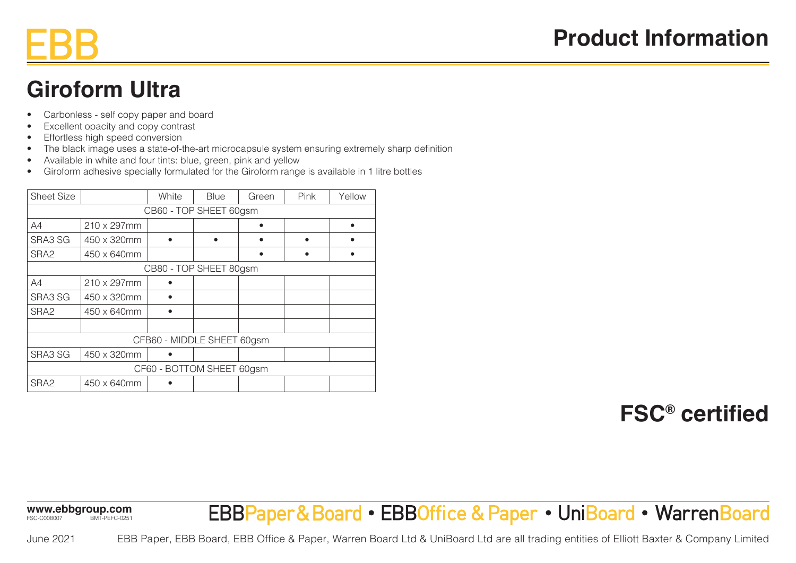# **Giroform Ultra**

- Carbonless self copy paper and board
- Excellent opacity and copy contrast
- Effortless high speed conversion
- The black image uses a state-of-the-art microcapsule system ensuring extremely sharp definition
- Available in white and four tints: blue, green, pink and yellow
- Giroform adhesive specially formulated for the Giroform range is available in 1 litre bottles

| <b>Sheet Size</b>          |             | White | <b>Blue</b> | Green | Pink | Yellow |  |  |
|----------------------------|-------------|-------|-------------|-------|------|--------|--|--|
| CB60 - TOP SHEET 60gsm     |             |       |             |       |      |        |  |  |
| A4                         | 210 x 297mm |       |             |       |      |        |  |  |
| SRA3 SG                    | 450 x 320mm |       | ٠           |       | ٠    |        |  |  |
| SRA <sub>2</sub>           | 450 x 640mm |       |             |       |      |        |  |  |
| CB80 - TOP SHEET 80gsm     |             |       |             |       |      |        |  |  |
| A4                         | 210 x 297mm |       |             |       |      |        |  |  |
| SRA3 SG                    | 450 x 320mm |       |             |       |      |        |  |  |
| SRA <sub>2</sub>           | 450 x 640mm |       |             |       |      |        |  |  |
|                            |             |       |             |       |      |        |  |  |
| CFB60 - MIDDLE SHEET 60gsm |             |       |             |       |      |        |  |  |
| SRA3 SG                    | 450 x 320mm |       |             |       |      |        |  |  |
| CF60 - BOTTOM SHEET 60gsm  |             |       |             |       |      |        |  |  |
| SRA2                       | 450 x 640mm |       |             |       |      |        |  |  |

## **FSC® certified**

**www.ebbgroup.com** FSC-C008007 BMT-PEFC-0251

June 2021

#### EBBPaper&Board • EBBOffice & Paper • UniBoard • WarrenBoard

EBB Paper, EBB Board, EBB Office & Paper, Warren Board Ltd & UniBoard Ltd are all trading entities of Elliott Baxter & Company Limited